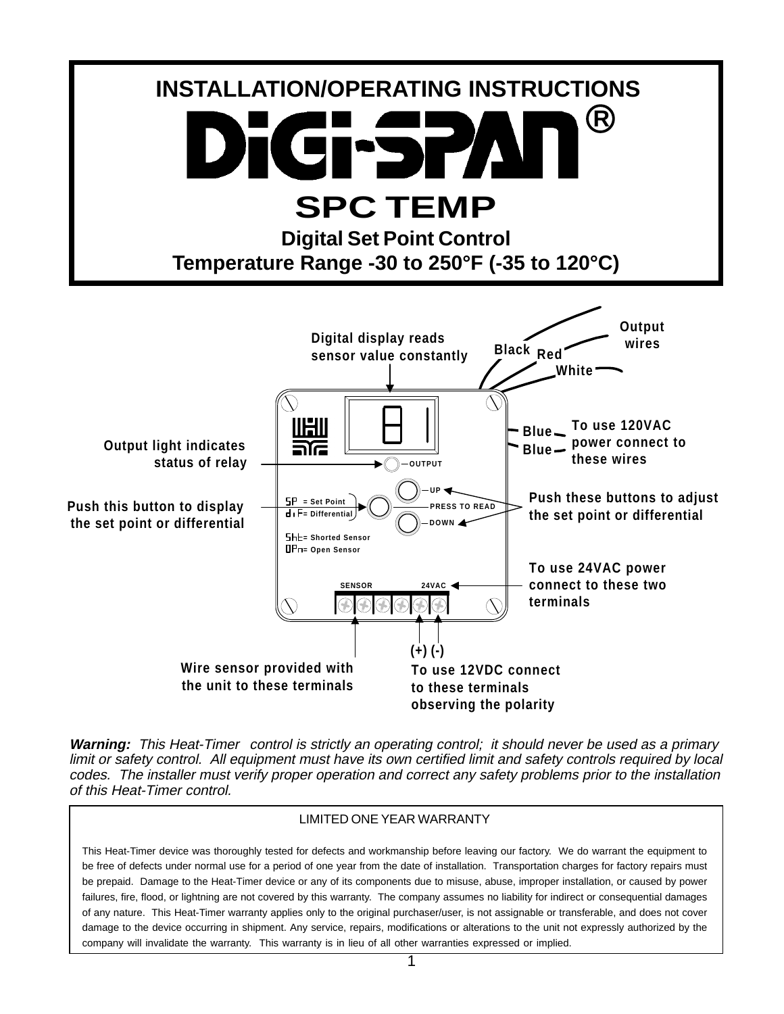

**Warning:** This Heat-Timer<sup>®</sup> control is strictly an operating control; it should never be used as a primary limit or safety control. All equipment must have its own certified limit and safety controls required by local codes. The installer must verify proper operation and correct any safety problems prior to the installation of this Heat-Timer control.

#### LIMITED ONE YEAR WARRANTY

This Heat-Timer device was thoroughly tested for defects and workmanship before leaving our factory. We do warrant the equipment to be free of defects under normal use for a period of one year from the date of installation. Transportation charges for factory repairs must be prepaid. Damage to the Heat-Timer device or any of its components due to misuse, abuse, improper installation, or caused by power failures, fire, flood, or lightning are not covered by this warranty. The company assumes no liability for indirect or consequential damages of any nature. This Heat-Timer warranty applies only to the original purchaser/user, is not assignable or transferable, and does not cover damage to the device occurring in shipment. Any service, repairs, modifications or alterations to the unit not expressly authorized by the company will invalidate the warranty. This warranty is in lieu of all other warranties expressed or implied.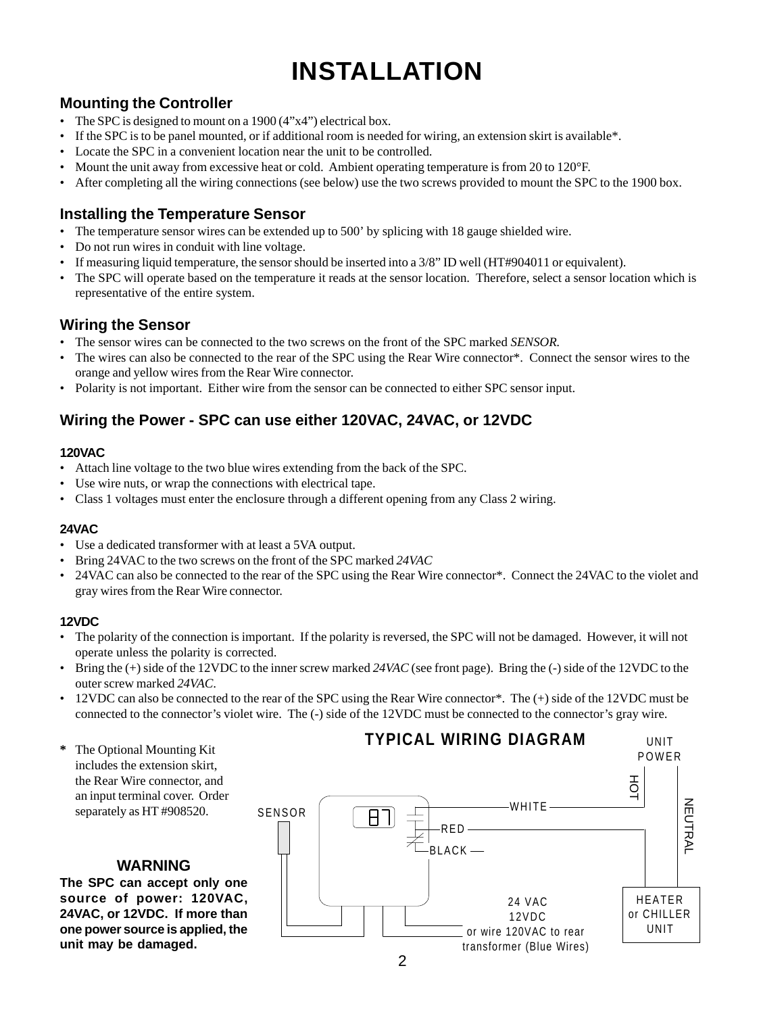# **INSTALLATION**

## **Mounting the Controller**

- The SPC is designed to mount on a 1900 (4"x4") electrical box.
- If the SPC is to be panel mounted, or if additional room is needed for wiring, an extension skirt is available\*.
- Locate the SPC in a convenient location near the unit to be controlled.
- Mount the unit away from excessive heat or cold. Ambient operating temperature is from 20 to 120°F.
- After completing all the wiring connections (see below) use the two screws provided to mount the SPC to the 1900 box.

### **Installing the Temperature Sensor**

- The temperature sensor wires can be extended up to 500' by splicing with 18 gauge shielded wire.
- Do not run wires in conduit with line voltage.
- If measuring liquid temperature, the sensor should be inserted into a 3/8" ID well (HT#904011 or equivalent).
- The SPC will operate based on the temperature it reads at the sensor location. Therefore, select a sensor location which is representative of the entire system.

## **Wiring the Sensor**

- The sensor wires can be connected to the two screws on the front of the SPC marked *SENSOR.*
- The wires can also be connected to the rear of the SPC using the Rear Wire connector\*. Connect the sensor wires to the orange and yellow wires from the Rear Wire connector.
- Polarity is not important. Either wire from the sensor can be connected to either SPC sensor input.

## **Wiring the Power - SPC can use either 120VAC, 24VAC, or 12VDC**

#### **120VAC**

- Attach line voltage to the two blue wires extending from the back of the SPC.
- Use wire nuts, or wrap the connections with electrical tape.
- Class 1 voltages must enter the enclosure through a different opening from any Class 2 wiring.

#### **24VAC**

- Use a dedicated transformer with at least a 5VA output.
- Bring 24VAC to the two screws on the front of the SPC marked *24VAC*
- 24VAC can also be connected to the rear of the SPC using the Rear Wire connector\*. Connect the 24VAC to the violet and gray wires from the Rear Wire connector.

#### **12VDC**

- The polarity of the connection is important. If the polarity is reversed, the SPC will not be damaged. However, it will not operate unless the polarity is corrected.
- Bring the (+) side of the 12VDC to the inner screw marked *24VAC* (see front page). Bring the (-) side of the 12VDC to the outer screw marked *24VAC*.
- $\bullet$  12VDC can also be connected to the rear of the SPC using the Rear Wire connector<sup>\*</sup>. The (+) side of the 12VDC must be connected to the connector's violet wire. The (-) side of the 12VDC must be connected to the connector's gray wire.
- **TYPICAL WIRING DIAGRAM** UNIT **\*** The Optional Mounting Kit POWER includes the extension skirt, HOT the Rear Wire connector, and an input terminal cover. Order **NEUTRAI** NEUTRAL WHITE separately as HT #908520.SENSOR 87 RED BLACK **WARNING The SPC can accept only one source of power: 120VAC,** HEATER 24 VAC **24VAC, or 12VDC. If more than** or CHILLER 12VDC **one power source is applied, the** UNIT or wire 120VAC to rear **unit may be damaged.** transformer (Blue Wires)

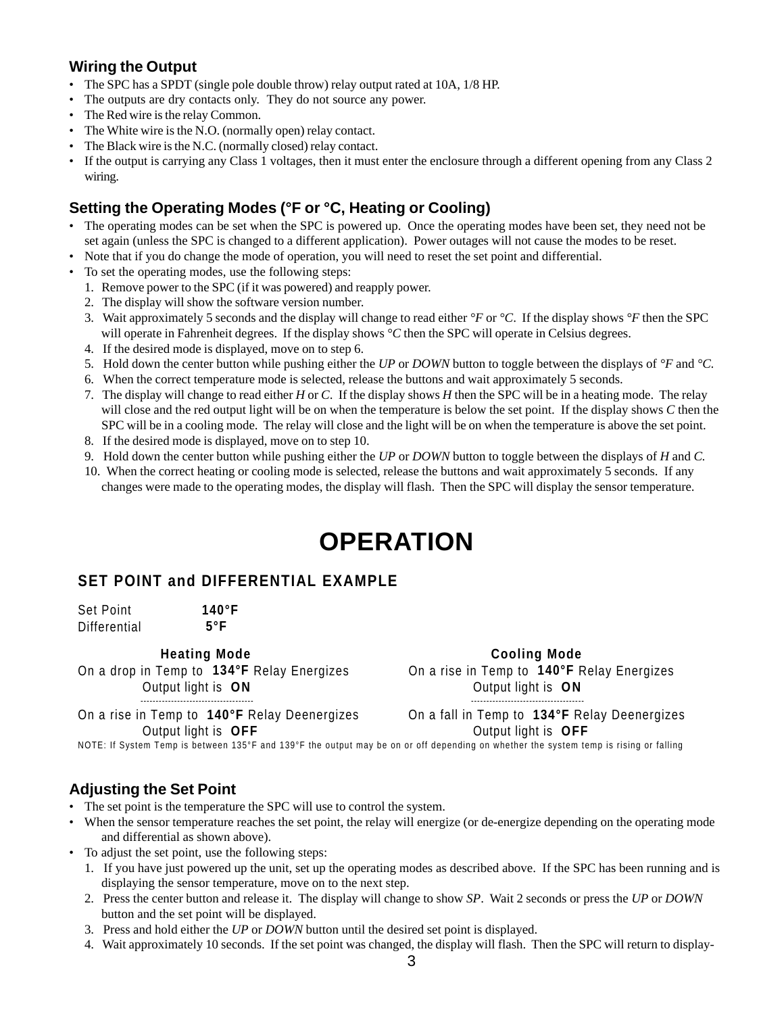## **Wiring the Output**

- The SPC has a SPDT (single pole double throw) relay output rated at 10A, 1/8 HP.
- The outputs are dry contacts only. They do not source any power.
- The Red wire is the relay Common.
- The White wire is the N.O. (normally open) relay contact.
- The Black wire is the N.C. (normally closed) relay contact.
- If the output is carrying any Class 1 voltages, then it must enter the enclosure through a different opening from any Class 2 wiring.

## **Setting the Operating Modes (°F or °C, Heating or Cooling)**

- The operating modes can be set when the SPC is powered up. Once the operating modes have been set, they need not be set again (unless the SPC is changed to a different application). Power outages will not cause the modes to be reset.
- Note that if you do change the mode of operation, you will need to reset the set point and differential.
- To set the operating modes, use the following steps:
	- 1. Remove power to the SPC (if it was powered) and reapply power.
	- 2. The display will show the software version number.
	- 3. Wait approximately 5 seconds and the display will change to read either *°F* or *°C*. If the display shows *°F* then the SPC will operate in Fahrenheit degrees. If the display shows <sup>*°C*</sup> then the SPC will operate in Celsius degrees.
	- 4. If the desired mode is displayed, move on to step 6.
	- 5. Hold down the center button while pushing either the *UP* or *DOWN* button to toggle between the displays of *°F* and *°C.*
	- 6. When the correct temperature mode is selected, release the buttons and wait approximately 5 seconds.
	- 7. The display will change to read either *H* or *C*. If the display shows *H* then the SPC will be in a heating mode. The relay will close and the red output light will be on when the temperature is below the set point. If the display shows *C* then the SPC will be in a cooling mode. The relay will close and the light will be on when the temperature is above the set point.
	- 8. If the desired mode is displayed, move on to step 10.
	- 9. Hold down the center button while pushing either the *UP* or *DOWN* button to toggle between the displays of *H* and *C.*
	- 10. When the correct heating or cooling mode is selected, release the buttons and wait approximately 5 seconds. If any changes were made to the operating modes, the display will flash. Then the SPC will display the sensor temperature.

## **OPERATION**

## **SET POINT and DIFFERENTIAL EXAMPLE**

Set Point **140°F** Differential **5°F**

**Heating Mode** Cooling Mode

On a drop in Temp to **134°F** Relay Energizes On a rise in Temp to **140°F** Relay Energizes

Output light is **OFF** Output light is **OFF**

 Output light is **ON** Output light is **ON**------------------------------------- -------------------------------------

On a rise in Temp to **140°F** Relay Deenergizes On a fall in Temp to **134°F** Relay Deenergizes

NOTE: If System Temp is between 135°F and 139°F the output may be on or off depending on whether the system temp is rising or falling

## **Adjusting the Set Point**

- The set point is the temperature the SPC will use to control the system.
- When the sensor temperature reaches the set point, the relay will energize (or de-energize depending on the operating mode and differential as shown above).
- To adjust the set point, use the following steps:
	- 1. If you have just powered up the unit, set up the operating modes as described above. If the SPC has been running and is displaying the sensor temperature, move on to the next step.
	- 2. Press the center button and release it. The display will change to show *SP*. Wait 2 seconds or press the *UP* or *DOWN* button and the set point will be displayed.
	- 3. Press and hold either the *UP* or *DOWN* button until the desired set point is displayed.
	- 4. Wait approximately 10 seconds. If the set point was changed, the display will flash. Then the SPC will return to display-